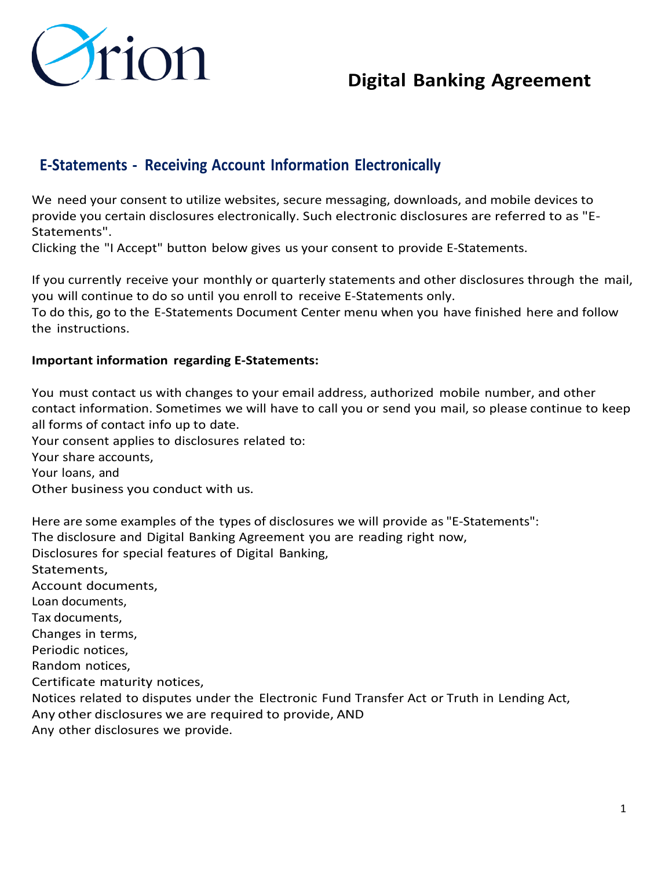

### **E-Statements - Receiving Account Information Electronically**

We need your consent to utilize websites, secure messaging, downloads, and mobile devices to provide you certain disclosures electronically. Such electronic disclosures are referred to as "E-Statements".

Clicking the "I Accept" button below gives us your consent to provide E-Statements.

If you currently receive your monthly or quarterly statements and other disclosures through the mail, you will continue to do so until you enroll to receive E-Statements only.

To do this, go to the E-Statements Document Center menu when you have finished here and follow the instructions.

#### **Important information regarding E-Statements:**

You must contact us with changes to your email address, authorized mobile number, and other contact information. Sometimes we will have to call you or send you mail, so please continue to keep all forms of contact info up to date.

Your consent applies to disclosures related to:

Your share accounts,

Your loans, and

Other business you conduct with us.

Here are some examples of the types of disclosures we will provide as "E-Statements": The disclosure and Digital Banking Agreement you are reading right now, Disclosures for special features of Digital Banking, Statements, Account documents, Loan documents, Tax documents, Changes in terms, Periodic notices, Random notices, Certificate maturity notices, Notices related to disputes under the Electronic Fund Transfer Act or Truth in Lending Act, Any other disclosures we are required to provide, AND Any other disclosures we provide.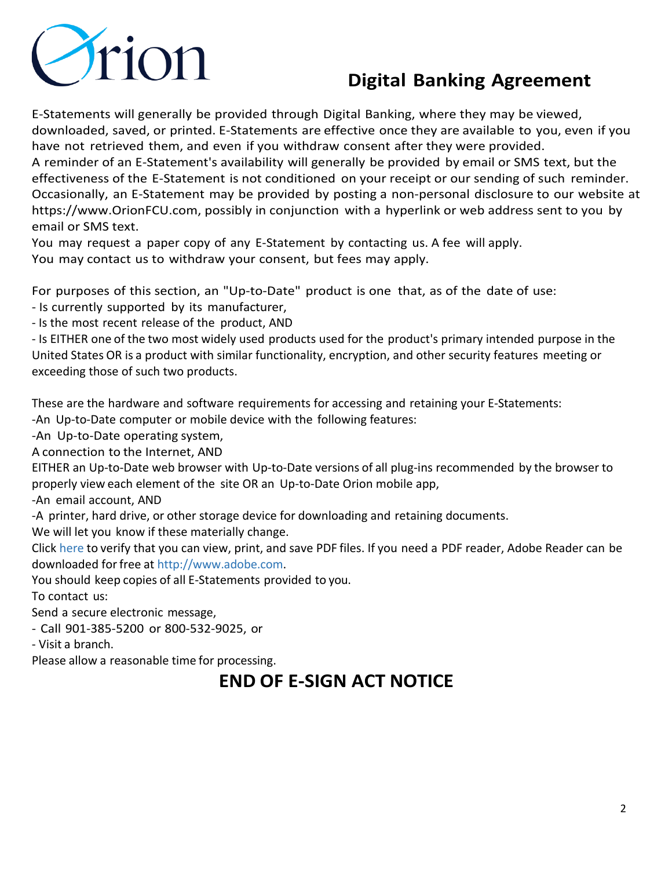

E-Statements will generally be provided through Digital Banking, where they may be viewed, downloaded, saved, or printed. E-Statements are effective once they are available to you, even if you have not retrieved them, and even if you withdraw consent after they were provided.

A reminder of an E-Statement's availability will generally be provided by email or SMS text, but the effectiveness of the E-Statement is not conditioned on your receipt or our sending of such reminder. Occasionally, an E-Statement may be provided by posting a non-personal disclosure to our website at [https://www.OrionFCU.com, p](https://www.orionfcu.com/)ossibly in conjunction with a hyperlink or web address sent to you by email or SMS text.

You may request a paper copy of any E-Statement by contacting us. A fee will apply. You may contact us to withdraw your consent, but fees may apply.

For purposes of this section, an "Up-to-Date" product is one that, as of the date of use:

- Is currently supported by its manufacturer,

- Is the most recent release of the product, AND

- Is EITHER one of the two most widely used products used for the product's primary intended purpose in the United States OR is a product with similar functionality, encryption, and other security features meeting or exceeding those of such two products.

These are the hardware and software requirements for accessing and retaining your E-Statements:

-An Up-to-Date computer or mobile device with the following features:

-An Up-to-Date operating system,

A connection to the Internet, AND

EITHER an Up-to-Date web browser with Up-to-Date versions of all plug-ins recommended by the browser to properly view each element of the site OR an Up-to-Date Orion mobile app,

-An email account, AND

-A printer, hard drive, or other storage device for downloading and retaining documents.

We will let you know if these materially change.

[Click here](https://orionfcu.com/help/pdf-test/) to verify that you can view, print, and save PDF files. If you need a PDF reader, Adobe Reader can be downloaded for free at [http://www.adobe.com.](http://www.adobe.com/)

You should keep copies of all E-Statements provided to you.

To contact us:

Send a secure electronic message,

- Call 901-385-5200 or 800-532-9025, or

- Visit a branch.

Please allow a reasonable time for processing.

# **END OF E-SIGN ACT NOTICE**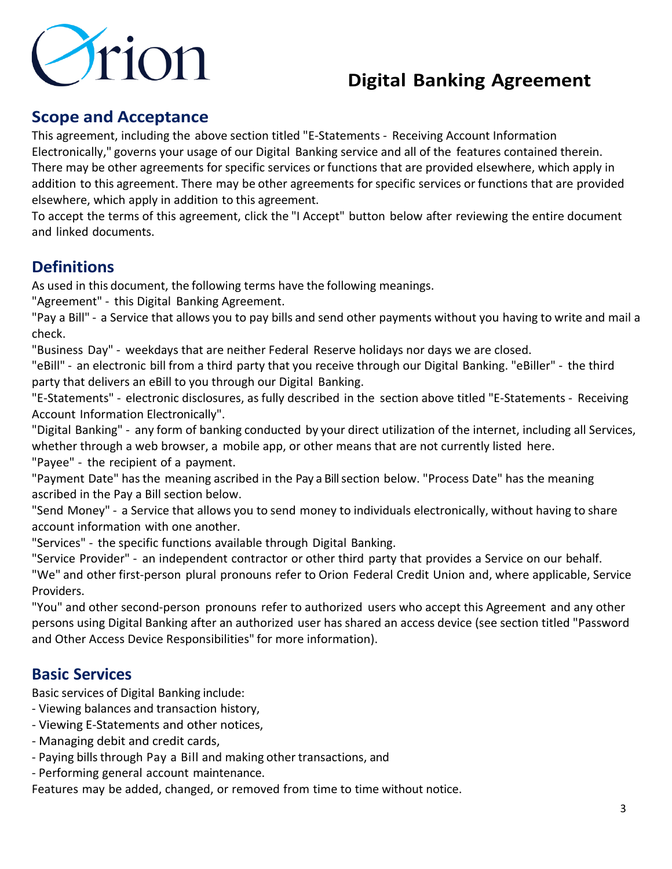

## **Scope and Acceptance**

This agreement, including the above section titled "E-Statements - Receiving Account Information Electronically," governs your usage of our Digital Banking service and all of the features contained therein. There may be other agreements for specific services or functions that are provided elsewhere, which apply in addition to this agreement. There may be other agreements for specific services or functions that are provided elsewhere, which apply in addition to this agreement.

To accept the terms of this agreement, click the "I Accept" button below after reviewing the entire document and linked documents.

## **Definitions**

As used in this document, the following terms have the following meanings.

"Agreement" - this Digital Banking Agreement.

"Pay a Bill" - a Service that allows you to pay bills and send other payments without you having to write and mail a check.

"Business Day" - weekdays that are neither Federal Reserve holidays nor days we are closed.

"eBill" - an electronic bill from a third party that you receive through our Digital Banking. "eBiller" - the third party that delivers an eBill to you through our Digital Banking.

"E-Statements" - electronic disclosures, as fully described in the section above titled "E-Statements - Receiving Account Information Electronically".

"Digital Banking" - any form of banking conducted by your direct utilization of the internet, including all Services, whether through a web browser, a mobile app, or other means that are not currently listed here.

"Payee" - the recipient of a payment.

"Payment Date" hasthe meaning ascribed in the Pay a Bill section below. "Process Date" has the meaning ascribed in the Pay a Bill section below.

"Send Money" - a Service that allows you to send money to individuals electronically, without having to share account information with one another.

"Services" - the specific functions available through Digital Banking.

"Service Provider" - an independent contractor or other third party that provides a Service on our behalf. "We" and other first-person plural pronouns refer to Orion Federal Credit Union and, where applicable, Service Providers.

"You" and other second-person pronouns refer to authorized users who accept this Agreement and any other persons using Digital Banking after an authorized user has shared an access device (see section titled "Password and Other Access Device Responsibilities" for more information).

### **Basic Services**

Basic services of Digital Banking include:

- Viewing balances and transaction history,
- Viewing E-Statements and other notices,
- Managing debit and credit cards,
- Paying bills through Pay a Bill and making other transactions, and
- Performing general account maintenance.

Features may be added, changed, or removed from time to time without notice.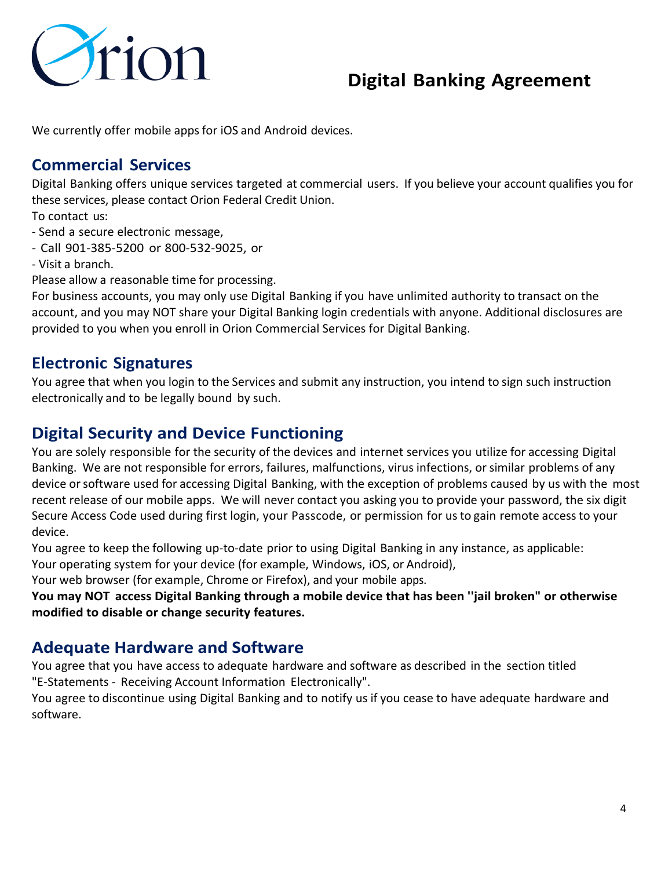

We currently offer mobile apps for iOS and Android devices.

#### **Commercial Services**

Digital Banking offers unique services targeted at commercial users. If you believe your account qualifies you for these services, please contact Orion Federal Credit Union.

To contact us:

- Send a secure electronic message,
- Call 901-385-5200 or 800-532-9025, or
- Visit a branch.

Please allow a reasonable time for processing.

For business accounts, you may only use Digital Banking if you have unlimited authority to transact on the account, and you may NOT share your Digital Banking login credentials with anyone. Additional disclosures are provided to you when you enroll in Orion Commercial Services for Digital Banking.

#### **Electronic Signatures**

You agree that when you login to the Services and submit any instruction, you intend to sign such instruction electronically and to be legally bound by such.

### **Digital Security and Device Functioning**

You are solely responsible for the security of the devices and internet services you utilize for accessing Digital Banking. We are not responsible for errors, failures, malfunctions, virus infections, orsimilar problems of any device or software used for accessing Digital Banking, with the exception of problems caused by us with the most recent release of our mobile apps. We will never contact you asking you to provide your password, the six digit Secure Access Code used during first login, your Passcode, or permission for usto gain remote accessto your device.

You agree to keep the following up-to-date prior to using Digital Banking in any instance, as applicable:

Your operating system for your device (for example, Windows, iOS, or Android),

Your web browser (for example, Chrome or Firefox), and your mobile apps.

**You may NOT access Digital Banking through a mobile device that has been ''jail broken" or otherwise modified to disable or change security features.**

#### **Adequate Hardware and Software**

You agree that you have access to adequate hardware and software as described in the section titled "E-Statements - Receiving Account Information Electronically".

You agree to discontinue using Digital Banking and to notify us if you cease to have adequate hardware and software.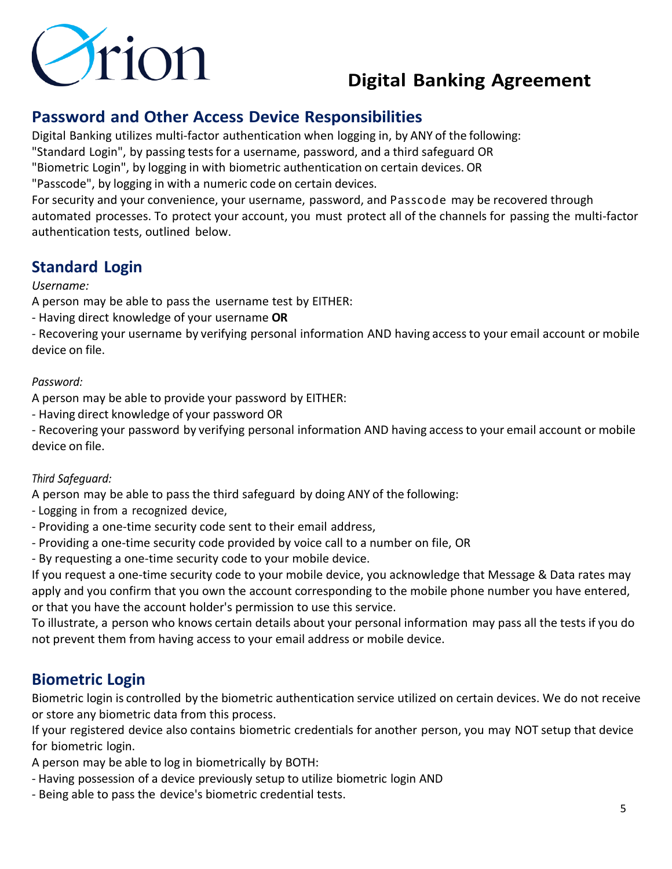

## **Password and Other Access Device Responsibilities**

Digital Banking utilizes multi-factor authentication when logging in, by ANY of the following:

"Standard Login", by passing testsfor a username, password, and a third safeguard OR

"Biometric Login", by logging in with biometric authentication on certain devices. OR

"Passcode", by logging in with a numeric code on certain devices.

For security and your convenience, your username, password, and Passcode may be recovered through automated processes. To protect your account, you must protect all of the channels for passing the multi-factor authentication tests, outlined below.

## **Standard Login**

#### *Username:*

A person may be able to pass the username test by EITHER:

- Having direct knowledge of your username **OR**

- Recovering your username by verifying personal information AND having accessto your email account or mobile device on file.

#### *Password:*

A person may be able to provide your password by EITHER:

- Having direct knowledge of your password OR

- Recovering your password by verifying personal information AND having accessto your email account or mobile device on file.

#### *Third Safeguard:*

A person may be able to pass the third safeguard by doing ANY of the following:

- Logging in from a recognized device,
- Providing a one-time security code sent to their email address,
- Providing a one-time security code provided by voice call to a number on file, OR

- By requesting a one-time security code to your mobile device.

If you request a one-time security code to your mobile device, you acknowledge that Message & Data rates may apply and you confirm that you own the account corresponding to the mobile phone number you have entered, or that you have the account holder's permission to use this service.

To illustrate, a person who knows certain details about your personal information may pass all the tests if you do not prevent them from having access to your email address or mobile device.

## **Biometric Login**

Biometric login is controlled by the biometric authentication service utilized on certain devices. We do not receive or store any biometric data from this process.

If your registered device also contains biometric credentials for another person, you may NOT setup that device for biometric login.

A person may be able to log in biometrically by BOTH:

- Having possession of a device previously setup to utilize biometric login AND
- Being able to pass the device's biometric credential tests.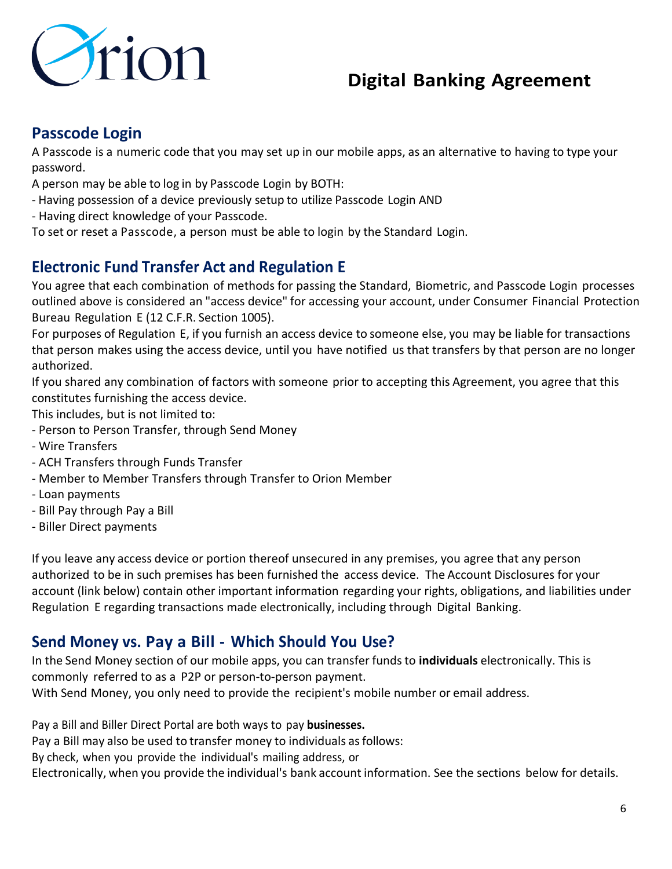

### **Passcode Login**

A Passcode is a numeric code that you may set up in our mobile apps, as an alternative to having to type your password.

A person may be able to log in by Passcode Login by BOTH:

- Having possession of a device previously setup to utilize Passcode Login AND
- Having direct knowledge of your Passcode.

To set or reset a Passcode, a person must be able to login by the Standard Login.

### **Electronic Fund Transfer Act and Regulation E**

You agree that each combination of methods for passing the Standard, Biometric, and Passcode Login processes outlined above is considered an "access device" for accessing your account, under Consumer Financial Protection Bureau Regulation E (12 C.F.R. Section 1005).

For purposes of Regulation E, if you furnish an access device to someone else, you may be liable for transactions that person makes using the access device, until you have notified us that transfers by that person are no longer authorized.

If you shared any combination of factors with someone prior to accepting this Agreement, you agree that this constitutes furnishing the access device.

This includes, but is not limited to:

- Person to Person Transfer, through Send Money
- Wire Transfers
- ACH Transfers through Funds Transfer
- Member to Member Transfers through Transfer to Orion Member
- Loan payments
- Bill Pay through Pay a Bill
- Biller Direct payments

If you leave any access device or portion thereof unsecured in any premises, you agree that any person authorized to be in such premises has been furnished the access device. The Account Disclosures for your account (link below) contain other important information regarding your rights, obligations, and liabilities under Regulation E regarding transactions made electronically, including through Digital Banking.

#### **Send Money vs. Pay a Bill - Which Should You Use?**

In the Send Money section of our mobile apps, you can transfer fundsto **individuals** electronically. This is commonly referred to as a P2P or person-to-person payment.

With Send Money, you only need to provide the recipient's mobile number or email address.

Pay a Bill and Biller Direct Portal are both ways to pay **businesses.**

Pay a Bill may also be used to transfer money to individuals as follows:

By check, when you provide the individual's mailing address, or

Electronically, when you provide the individual's bank account information. See the sections below for details.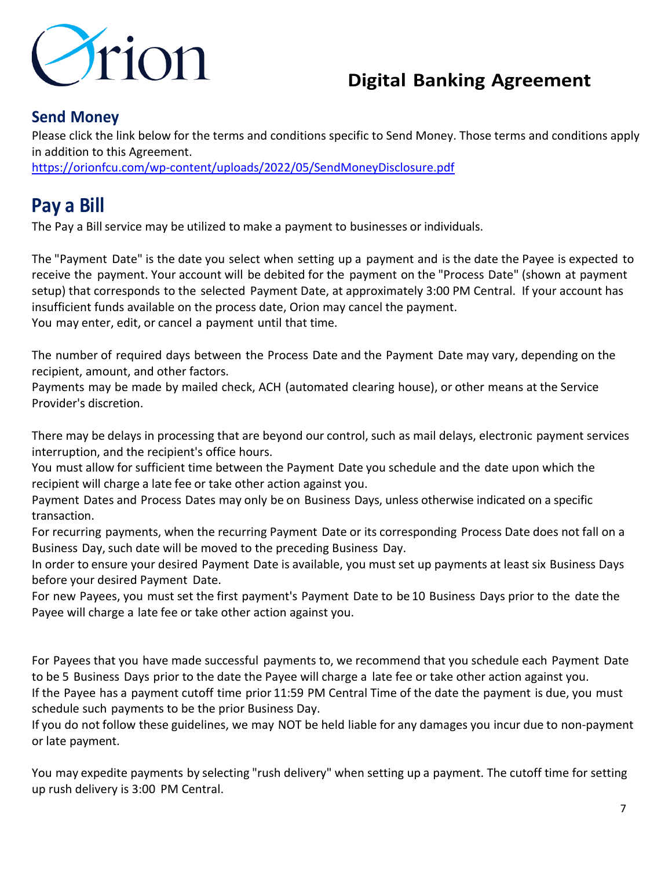

#### **Send Money**

Please click the link below for the terms and conditions specific to Send Money. Those terms and conditions apply in addition to this Agreement.

<https://orionfcu.com/wp-content/uploads/2022/05/SendMoneyDisclosure.pdf>

# **Pay a Bill**

The Pay a Bill service may be utilized to make a payment to businesses or individuals.

The "Payment Date" is the date you select when setting up a payment and is the date the Payee is expected to receive the payment. Your account will be debited for the payment on the "Process Date" (shown at payment setup) that corresponds to the selected Payment Date, at approximately 3:00 PM Central. If your account has insufficient funds available on the process date, Orion may cancel the payment. You may enter, edit, or cancel a payment until that time.

The number of required days between the Process Date and the Payment Date may vary, depending on the recipient, amount, and other factors.

Payments may be made by mailed check, ACH (automated clearing house), or other means at the Service Provider's discretion.

There may be delays in processing that are beyond our control, such as mail delays, electronic payment services interruption, and the recipient's office hours.

You must allow for sufficient time between the Payment Date you schedule and the date upon which the recipient will charge a late fee or take other action against you.

Payment Dates and Process Dates may only be on Business Days, unless otherwise indicated on a specific transaction.

For recurring payments, when the recurring Payment Date or its corresponding Process Date does not fall on a Business Day, such date will be moved to the preceding Business Day.

In order to ensure your desired Payment Date is available, you must set up payments at least six Business Days before your desired Payment Date.

For new Payees, you must set the first payment's Payment Date to be 10 Business Days prior to the date the Payee will charge a late fee or take other action against you.

For Payees that you have made successful payments to, we recommend that you schedule each Payment Date to be 5 Business Days prior to the date the Payee will charge a late fee or take other action against you. If the Payee has a payment cutoff time prior 11:59 PM Central Time of the date the payment is due, you must

schedule such payments to be the prior Business Day.

If you do not follow these guidelines, we may NOT be held liable for any damages you incur due to non-payment or late payment.

You may expedite payments by selecting "rush delivery" when setting up a payment. The cutoff time for setting up rush delivery is 3:00 PM Central.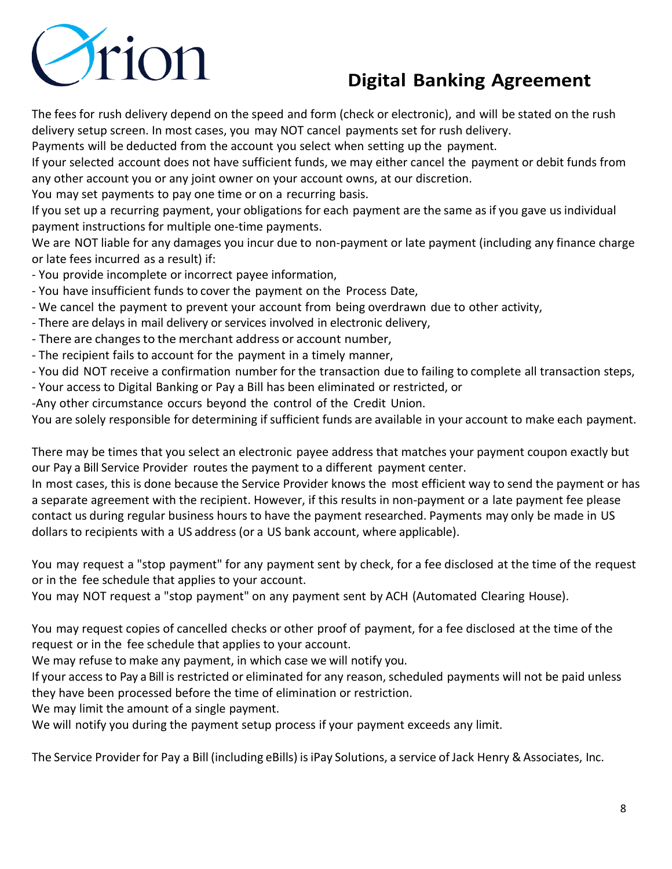

The fees for rush delivery depend on the speed and form (check or electronic), and will be stated on the rush delivery setup screen. In most cases, you may NOT cancel payments set for rush delivery.

Payments will be deducted from the account you select when setting up the payment.

If your selected account does not have sufficient funds, we may either cancel the payment or debit funds from any other account you or any joint owner on your account owns, at our discretion.

You may set payments to pay one time or on a recurring basis.

If you set up a recurring payment, your obligations for each payment are the same as if you gave us individual payment instructions for multiple one-time payments.

We are NOT liable for any damages you incur due to non-payment or late payment (including any finance charge or late fees incurred as a result) if:

- You provide incomplete or incorrect payee information,

- You have insufficient funds to cover the payment on the Process Date,
- We cancel the payment to prevent your account from being overdrawn due to other activity,
- There are delays in mail delivery or services involved in electronic delivery,
- There are changes to the merchant address or account number,
- The recipient fails to account for the payment in a timely manner,
- You did NOT receive a confirmation number for the transaction due to failing to complete all transaction steps,
- Your access to Digital Banking or Pay a Bill has been eliminated or restricted, or
- -Any other circumstance occurs beyond the control of the Credit Union.

You are solely responsible for determining if sufficient funds are available in your account to make each payment.

There may be times that you select an electronic payee address that matches your payment coupon exactly but our Pay a Bill Service Provider routes the payment to a different payment center.

In most cases, this is done because the Service Provider knows the most efficient way to send the payment or has a separate agreement with the recipient. However, if this results in non-payment or a late payment fee please contact us during regular business hours to have the payment researched. Payments may only be made in US dollars to recipients with a US address (or a US bank account, where applicable).

You may request a "stop payment" for any payment sent by check, for a fee disclosed at the time of the request or in the fee schedule that applies to your account.

You may NOT request a "stop payment" on any payment sent by ACH (Automated Clearing House).

You may request copies of cancelled checks or other proof of payment, for a fee disclosed at the time of the request or in the fee schedule that applies to your account.

We may refuse to make any payment, in which case we will notify you.

If your access to Pay a Bill is restricted or eliminated for any reason,scheduled payments will not be paid unless they have been processed before the time of elimination or restriction.

We may limit the amount of a single payment.

We will notify you during the payment setup process if your payment exceeds any limit.

The Service Provider for Pay a Bill (including eBills) is iPay Solutions, a service of Jack Henry & Associates, Inc.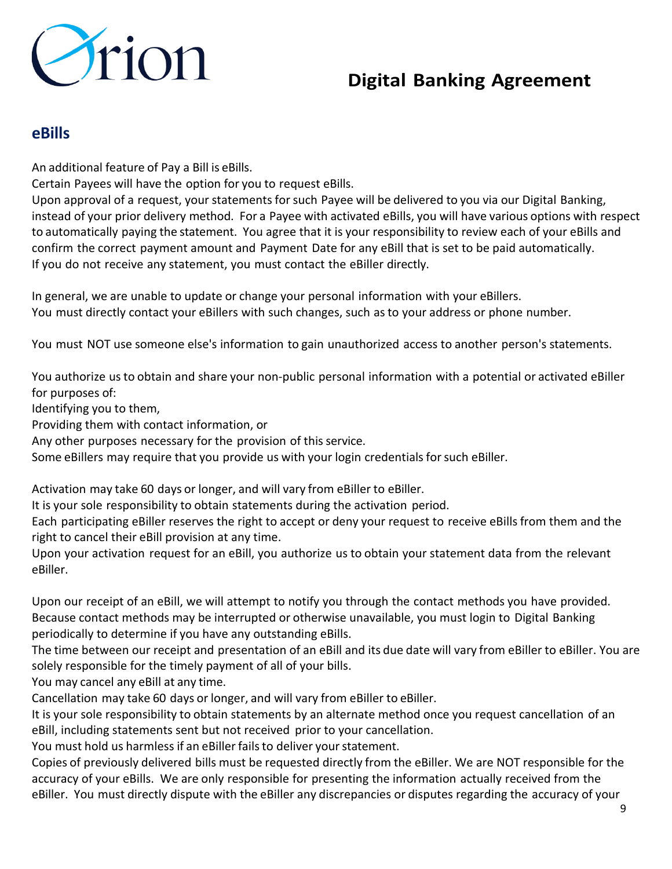

#### **eBills**

An additional feature of Pay a Bill is eBills.

Certain Payees will have the option for you to request eBills.

Upon approval of a request, your statements for such Payee will be delivered to you via our Digital Banking, instead of your prior delivery method. For a Payee with activated eBills, you will have various options with respect to automatically paying the statement. You agree that it is your responsibility to review each of your eBills and confirm the correct payment amount and Payment Date for any eBill that is set to be paid automatically. If you do not receive any statement, you must contact the eBiller directly.

In general, we are unable to update or change your personal information with your eBillers. You must directly contact your eBillers with such changes, such asto your address or phone number.

You must NOT use someone else's information to gain unauthorized access to another person's statements.

You authorize us to obtain and share your non-public personal information with a potential or activated eBiller for purposes of:

Identifying you to them,

Providing them with contact information, or

Any other purposes necessary for the provision of this service.

Some eBillers may require that you provide us with your login credentials for such eBiller.

Activation may take 60 days or longer, and will vary from eBiller to eBiller.

It is your sole responsibility to obtain statements during the activation period.

Each participating eBiller reserves the right to accept or deny your request to receive eBills from them and the right to cancel their eBill provision at any time.

Upon your activation request for an eBill, you authorize us to obtain your statement data from the relevant eBiller.

Upon our receipt of an eBill, we will attempt to notify you through the contact methods you have provided. Because contact methods may be interrupted or otherwise unavailable, you must login to Digital Banking periodically to determine if you have any outstanding eBills.

The time between our receipt and presentation of an eBill and its due date will vary from eBiller to eBiller. You are solely responsible for the timely payment of all of your bills.

You may cancel any eBill at any time.

Cancellation may take 60 days or longer, and will vary from eBiller to eBiller.

It is your sole responsibility to obtain statements by an alternate method once you request cancellation of an eBill, including statements sent but not received prior to your cancellation.

You must hold us harmless if an eBiller fails to deliver your statement.

Copies of previously delivered bills must be requested directly from the eBiller. We are NOT responsible for the accuracy of your eBills. We are only responsible for presenting the information actually received from the eBiller. You must directly dispute with the eBiller any discrepancies or disputes regarding the accuracy of your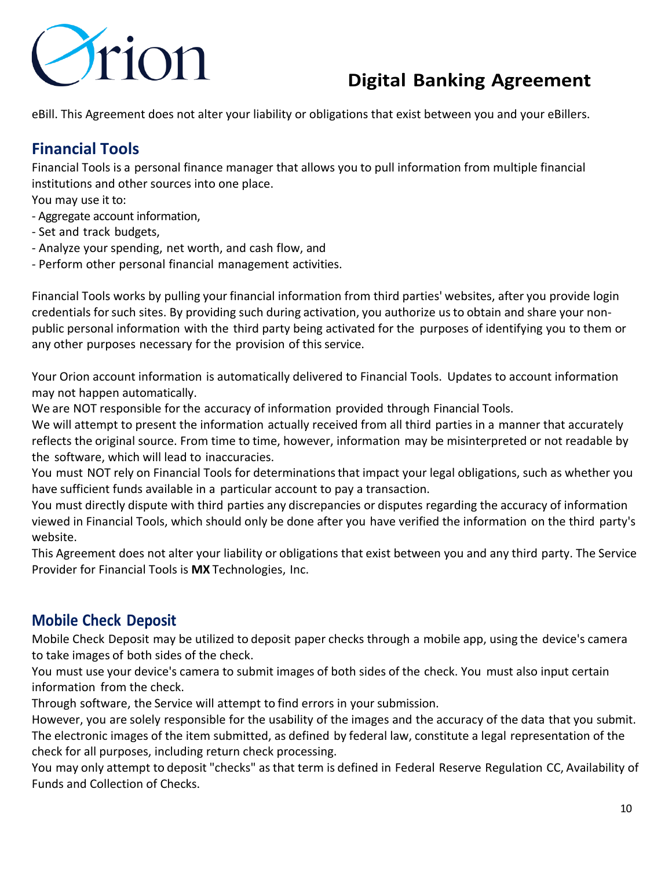

eBill. This Agreement does not alter your liability or obligations that exist between you and your eBillers.

## **Financial Tools**

Financial Tools is a personal finance manager that allows you to pull information from multiple financial institutions and other sources into one place.

You may use it to:

- Aggregate account information,
- Set and track budgets,
- Analyze your spending, net worth, and cash flow, and
- Perform other personal financial management activities.

Financial Tools works by pulling your financial information from third parties' websites, after you provide login credentials for such sites. By providing such during activation, you authorize us to obtain and share your nonpublic personal information with the third party being activated for the purposes of identifying you to them or any other purposes necessary for the provision of this service.

Your Orion account information is automatically delivered to Financial Tools. Updates to account information may not happen automatically.

We are NOT responsible for the accuracy of information provided through Financial Tools.

We will attempt to present the information actually received from all third parties in a manner that accurately reflects the original source. From time to time, however, information may be misinterpreted or not readable by the software, which will lead to inaccuracies.

You must NOT rely on Financial Tools for determinations that impact your legal obligations, such as whether you have sufficient funds available in a particular account to pay a transaction.

You must directly dispute with third parties any discrepancies or disputes regarding the accuracy of information viewed in Financial Tools, which should only be done after you have verified the information on the third party's website.

This Agreement does not alter your liability or obligations that exist between you and any third party. The Service Provider for Financial Tools is **MX** Technologies, Inc.

### **Mobile Check Deposit**

Mobile Check Deposit may be utilized to deposit paper checks through a mobile app, using the device's camera to take images of both sides of the check.

You must use your device's camera to submit images of both sides of the check. You must also input certain information from the check.

Through software, the Service will attempt to find errors in your submission.

However, you are solely responsible for the usability of the images and the accuracy of the data that you submit. The electronic images of the item submitted, as defined by federal law, constitute a legal representation of the check for all purposes, including return check processing.

You may only attempt to deposit "checks" as that term is defined in Federal Reserve Regulation CC, Availability of Funds and Collection of Checks.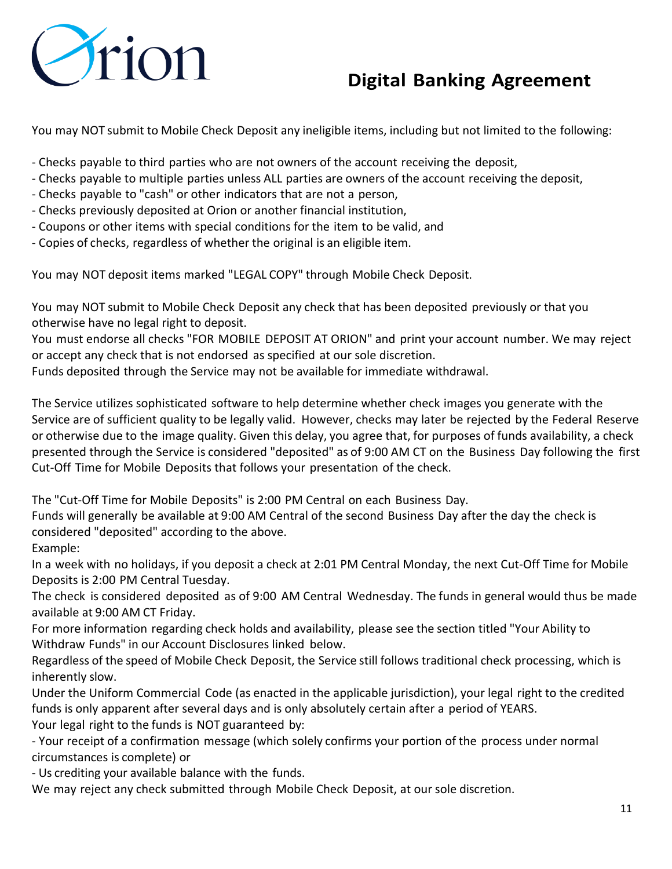

You may NOT submit to Mobile Check Deposit any ineligible items, including but not limited to the following:

- Checks payable to third parties who are not owners of the account receiving the deposit,
- Checks payable to multiple parties unless ALL parties are owners of the account receiving the deposit,
- Checks payable to "cash" or other indicators that are not a person,
- Checks previously deposited at Orion or another financial institution,
- Coupons or other items with special conditions for the item to be valid, and
- Copies of checks, regardless of whether the original is an eligible item.

You may NOT deposit items marked "LEGAL COPY" through Mobile Check Deposit.

You may NOT submit to Mobile Check Deposit any check that has been deposited previously or that you otherwise have no legal right to deposit.

You must endorse all checks "FOR MOBILE DEPOSIT AT ORION" and print your account number. We may reject or accept any check that is not endorsed as specified at our sole discretion.

Funds deposited through the Service may not be available for immediate withdrawal.

The Service utilizes sophisticated software to help determine whether check images you generate with the Service are of sufficient quality to be legally valid. However, checks may later be rejected by the Federal Reserve or otherwise due to the image quality. Given this delay, you agree that, for purposes of funds availability, a check presented through the Service is considered "deposited" as of 9:00 AM CT on the Business Day following the first Cut-Off Time for Mobile Deposits that follows your presentation of the check.

The "Cut-Off Time for Mobile Deposits" is 2:00 PM Central on each Business Day.

Funds will generally be available at 9:00 AM Central of the second Business Day after the day the check is considered "deposited" according to the above.

Example:

In a week with no holidays, if you deposit a check at 2:01 PM Central Monday, the next Cut-Off Time for Mobile Deposits is 2:00 PM Central Tuesday.

The check is considered deposited as of 9:00 AM Central Wednesday. The funds in general would thus be made available at 9:00 AM CT Friday.

For more information regarding check holds and availability, please see the section titled "Your Ability to Withdraw Funds" in our Account Disclosures linked below.

Regardless of the speed of Mobile Check Deposit, the Service still follows traditional check processing, which is inherently slow.

Under the Uniform Commercial Code (as enacted in the applicable jurisdiction), your legal right to the credited funds is only apparent after several days and is only absolutely certain after a period of YEARS. Your legal right to the funds is NOT guaranteed by:

- Your receipt of a confirmation message (which solely confirms your portion of the process under normal circumstances is complete) or

- Us crediting your available balance with the funds.

We may reject any check submitted through Mobile Check Deposit, at our sole discretion.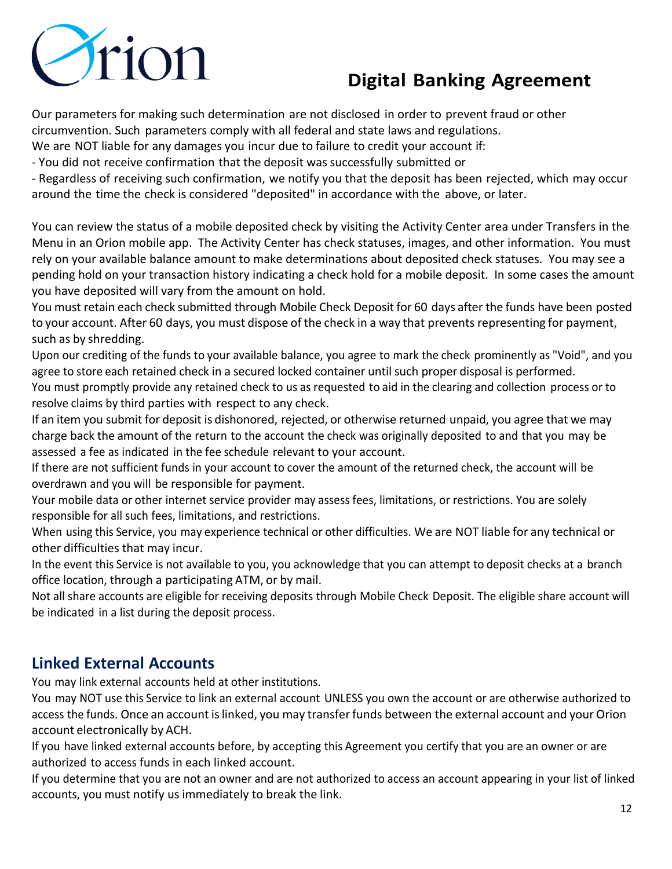

Our parameters for making such determination are not disclosed in order to prevent fraud or other circumvention. Such parameters comply with all federal and state laws and regulations.

We are NOT liable for any damages you incur due to failure to credit your account if:

- You did not receive confirmation that the deposit was successfully submitted or

- Regardless of receiving such confirmation, we notify you that the deposit has been rejected, which may occur around the time the check is considered "deposited" in accordance with the above, or later.

You can review the status of a mobile deposited check by visiting the Activity Center area under Transfers in the Menu in an Orion mobile app. The Activity Center has check statuses, images, and other information. You must rely on your available balance amount to make determinations about deposited check statuses. You may see a pending hold on your transaction history indicating a check hold for a mobile deposit. In some cases the amount you have deposited will vary from the amount on hold.

You must retain each check submitted through Mobile Check Deposit for 60 days after the funds have been posted to your account. After 60 days, you must dispose of the check in a way that preventsrepresenting for payment, such as by shredding.

Upon our crediting of the funds to your available balance, you agree to mark the check prominently as "Void", and you agree to store each retained check in a secured locked container until such proper disposal is performed.

You must promptly provide any retained check to us as requested to aid in the clearing and collection process or to resolve claims by third parties with respect to any check.

If an item you submit for deposit is dishonored, rejected, or otherwise returned unpaid, you agree that we may charge back the amount of the return to the account the check was originally deposited to and that you may be assessed a fee as indicated in the fee schedule relevant to your account.

If there are not sufficient funds in your account to cover the amount of the returned check, the account will be overdrawn and you will be responsible for payment.

Your mobile data or other internet service provider may assess fees, limitations, or restrictions. You are solely responsible for all such fees, limitations, and restrictions.

When using this Service, you may experience technical or other difficulties. We are NOT liable for any technical or other difficulties that may incur.

In the event this Service is not available to you, you acknowledge that you can attempt to deposit checks at a branch office location, through a participating ATM, or by mail.

Not all share accounts are eligible for receiving deposits through Mobile Check Deposit. The eligible share account will be indicated in a list during the deposit process.

### **Linked External Accounts**

You may link external accounts held at other institutions.

You may NOT use this Service to link an external account UNLESS you own the account or are otherwise authorized to access the funds. Once an account islinked, you may transferfunds between the external account and your Orion account electronically by ACH.

If you have linked external accounts before, by accepting this Agreement you certify that you are an owner or are authorized to access funds in each linked account.

If you determine that you are not an owner and are not authorized to access an account appearing in your list of linked accounts, you must notify us immediately to break the link.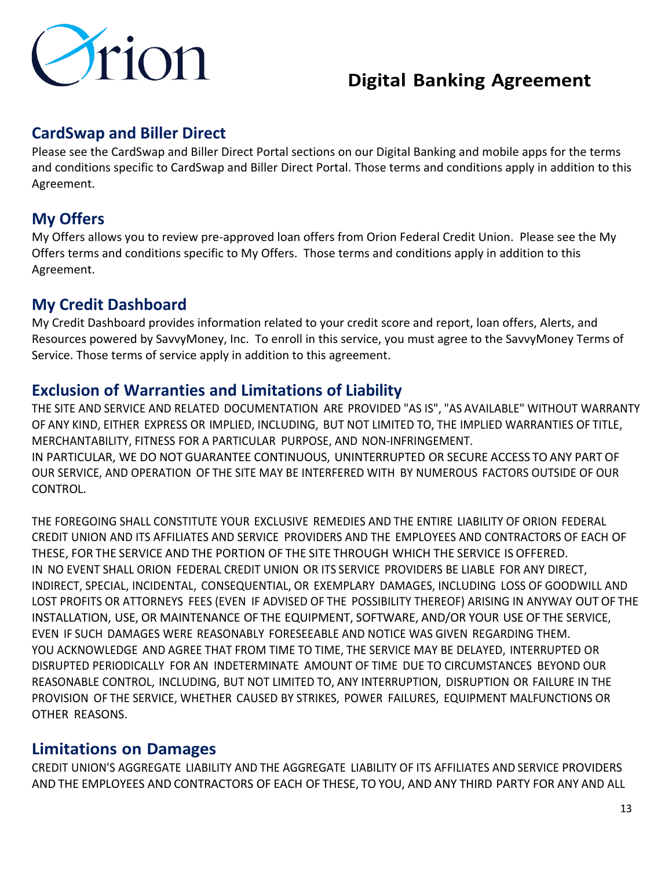

### **CardSwap and Biller Direct**

Please see the CardSwap and Biller Direct Portal sections on our Digital Banking and mobile apps for the terms and conditions specific to CardSwap and Biller Direct Portal. Those terms and conditions apply in addition to this Agreement.

## **My Offers**

My Offers allows you to review pre-approved loan offers from Orion Federal Credit Union. Please see the My Offers terms and conditions specific to My Offers. Those terms and conditions apply in addition to this Agreement.

### **My Credit Dashboard**

My Credit Dashboard provides information related to your credit score and report, loan offers, Alerts, and Resources powered by SavvyMoney, Inc. To enroll in this service, you must agree to the SavvyMoney Terms of Service. Those terms of service apply in addition to this agreement.

#### **Exclusion of Warranties and Limitations of Liability**

THE SITE AND SERVICE AND RELATED DOCUMENTATION ARE PROVIDED "AS IS", "AS AVAILABLE" WITHOUT WARRANTY OF ANY KIND, EITHER EXPRESS OR IMPLIED, INCLUDING, BUT NOT LIMITED TO, THE IMPLIED WARRANTIES OF TITLE, MERCHANTABILITY, FITNESS FOR A PARTICULAR PURPOSE, AND NON-INFRINGEMENT. IN PARTICULAR, WE DO NOT GUARANTEE CONTINUOUS, UNINTERRUPTED OR SECURE ACCESS TO ANY PART OF OUR SERVICE, AND OPERATION OF THE SITE MAY BE INTERFERED WITH BY NUMEROUS FACTORS OUTSIDE OF OUR CONTROL.

THE FOREGOING SHALL CONSTITUTE YOUR EXCLUSIVE REMEDIES AND THE ENTIRE LIABILITY OF ORION FEDERAL CREDIT UNION AND ITS AFFILIATES AND SERVICE PROVIDERS AND THE EMPLOYEES AND CONTRACTORS OF EACH OF THESE, FOR THE SERVICE AND THE PORTION OF THE SITE THROUGH WHICH THE SERVICE IS OFFERED. IN NO EVENT SHALL ORION FEDERAL CREDIT UNION OR ITS SERVICE PROVIDERS BE LIABLE FOR ANY DIRECT, INDIRECT, SPECIAL, INCIDENTAL, CONSEQUENTIAL, OR EXEMPLARY DAMAGES, INCLUDING LOSS OF GOODWILL AND LOST PROFITS OR ATTORNEYS FEES (EVEN IF ADVISED OF THE POSSIBILITY THEREOF) ARISING IN ANYWAY OUT OF THE INSTALLATION, USE, OR MAINTENANCE OF THE EQUIPMENT, SOFTWARE, AND/OR YOUR USE OF THE SERVICE, EVEN IF SUCH DAMAGES WERE REASONABLY FORESEEABLE AND NOTICE WAS GIVEN REGARDING THEM. YOU ACKNOWLEDGE AND AGREE THAT FROM TIME TO TIME, THE SERVICE MAY BE DELAYED, INTERRUPTED OR DISRUPTED PERIODICALLY FOR AN INDETERMINATE AMOUNT OF TIME DUE TO CIRCUMSTANCES BEYOND OUR REASONABLE CONTROL, INCLUDING, BUT NOT LIMITED TO, ANY INTERRUPTION, DISRUPTION OR FAILURE IN THE PROVISION OF THE SERVICE, WHETHER CAUSED BY STRIKES, POWER FAILURES, EQUIPMENT MALFUNCTIONS OR OTHER REASONS.

#### **Limitations on Damages**

CREDIT UNION'S AGGREGATE LIABILITY AND THE AGGREGATE LIABILITY OF ITS AFFILIATES AND SERVICE PROVIDERS AND THE EMPLOYEES AND CONTRACTORS OF EACH OF THESE, TO YOU, AND ANY THIRD PARTY FOR ANY AND ALL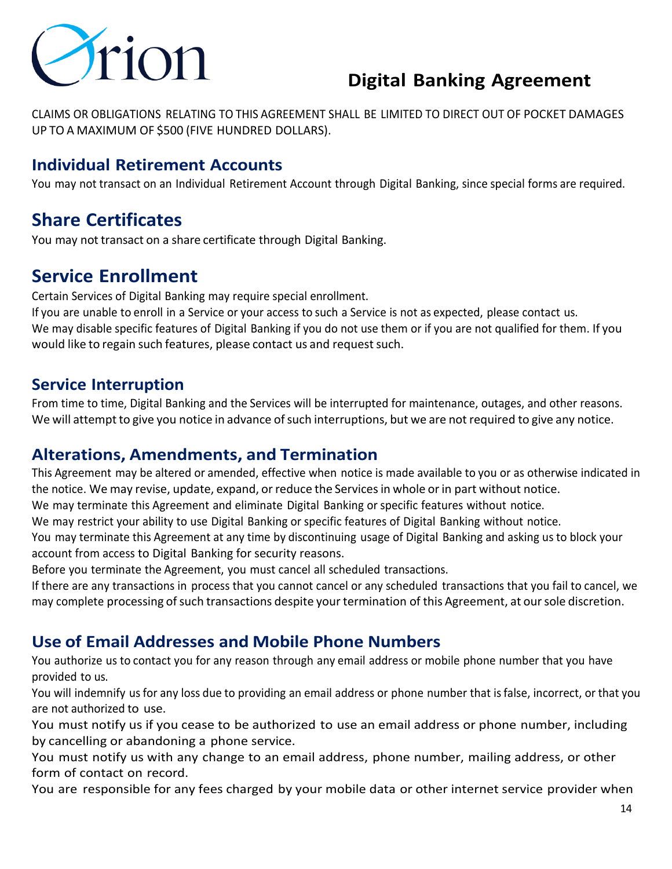

CLAIMS OR OBLIGATIONS RELATING TO THIS AGREEMENT SHALL BE LIMITED TO DIRECT OUT OF POCKET DAMAGES UP TO A MAXIMUM OF \$500 (FIVE HUNDRED DOLLARS).

### **Individual Retirement Accounts**

You may not transact on an Individual Retirement Account through Digital Banking, since special forms are required.

## **Share Certificates**

You may not transact on a share certificate through Digital Banking.

## **Service Enrollment**

Certain Services of Digital Banking may require special enrollment.

If you are unable to enroll in a Service or your access to such a Service is not as expected, please contact us. We may disable specific features of Digital Banking if you do not use them or if you are not qualified for them. If you would like to regain such features, please contact us and request such.

#### **Service Interruption**

From time to time, Digital Banking and the Services will be interrupted for maintenance, outages, and other reasons. We will attempt to give you notice in advance of such interruptions, but we are not required to give any notice.

#### **Alterations, Amendments, and Termination**

This Agreement may be altered or amended, effective when notice is made available to you or as otherwise indicated in the notice. We may revise, update, expand, or reduce the Services in whole or in part without notice.

We may terminate this Agreement and eliminate Digital Banking or specific features without notice.

We may restrict your ability to use Digital Banking or specific features of Digital Banking without notice. You may terminate this Agreement at any time by discontinuing usage of Digital Banking and asking us to block your account from access to Digital Banking for security reasons.

Before you terminate the Agreement, you must cancel all scheduled transactions.

If there are any transactions in process that you cannot cancel or any scheduled transactions that you fail to cancel, we may complete processing ofsuch transactions despite your termination of this Agreement, at oursole discretion.

### **Use of Email Addresses and Mobile Phone Numbers**

You authorize us to contact you for any reason through any email address or mobile phone number that you have provided to us.

You will indemnify us for any loss due to providing an email address or phone number that is false, incorrect, or that you are not authorized to use.

You must notify us if you cease to be authorized to use an email address or phone number, including by cancelling or abandoning a phone service.

You must notify us with any change to an email address, phone number, mailing address, or other form of contact on record.

You are responsible for any fees charged by your mobile data or other internet service provider when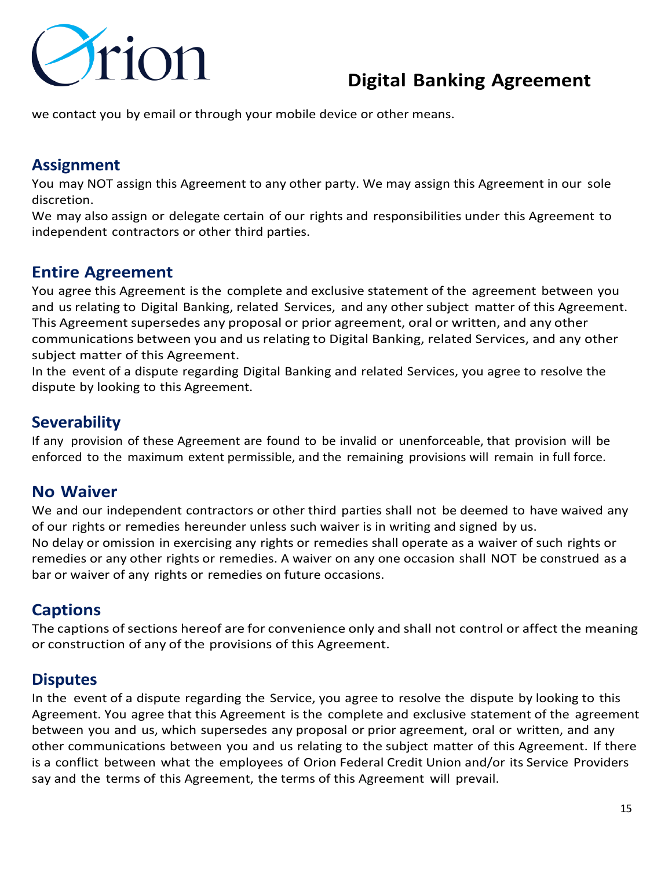

we contact you by email or through your mobile device or other means.

### **Assignment**

You may NOT assign this Agreement to any other party. We may assign this Agreement in our sole discretion.

We may also assign or delegate certain of our rights and responsibilities under this Agreement to independent contractors or other third parties.

### **Entire Agreement**

You agree this Agreement is the complete and exclusive statement of the agreement between you and us relating to Digital Banking, related Services, and any other subject matter of this Agreement. This Agreement supersedes any proposal or prior agreement, oral or written, and any other communications between you and usrelating to Digital Banking, related Services, and any other subject matter of this Agreement.

In the event of a dispute regarding Digital Banking and related Services, you agree to resolve the dispute by looking to this Agreement.

#### **Severability**

If any provision of these Agreement are found to be invalid or unenforceable, that provision will be enforced to the maximum extent permissible, and the remaining provisions will remain in full force.

#### **No Waiver**

We and our independent contractors or other third parties shall not be deemed to have waived any of our rights or remedies hereunder unless such waiver is in writing and signed by us. No delay or omission in exercising any rights or remedies shall operate as a waiver of such rights or remedies or any other rights or remedies. A waiver on any one occasion shall NOT be construed as a bar or waiver of any rights or remedies on future occasions.

### **Captions**

The captions of sections hereof are for convenience only and shall not control or affect the meaning or construction of any of the provisions of this Agreement.

#### **Disputes**

In the event of a dispute regarding the Service, you agree to resolve the dispute by looking to this Agreement. You agree that this Agreement is the complete and exclusive statement of the agreement between you and us, which supersedes any proposal or prior agreement, oral or written, and any other communications between you and us relating to the subject matter of this Agreement. If there is a conflict between what the employees of Orion Federal Credit Union and/or its Service Providers say and the terms of this Agreement, the terms of this Agreement will prevail.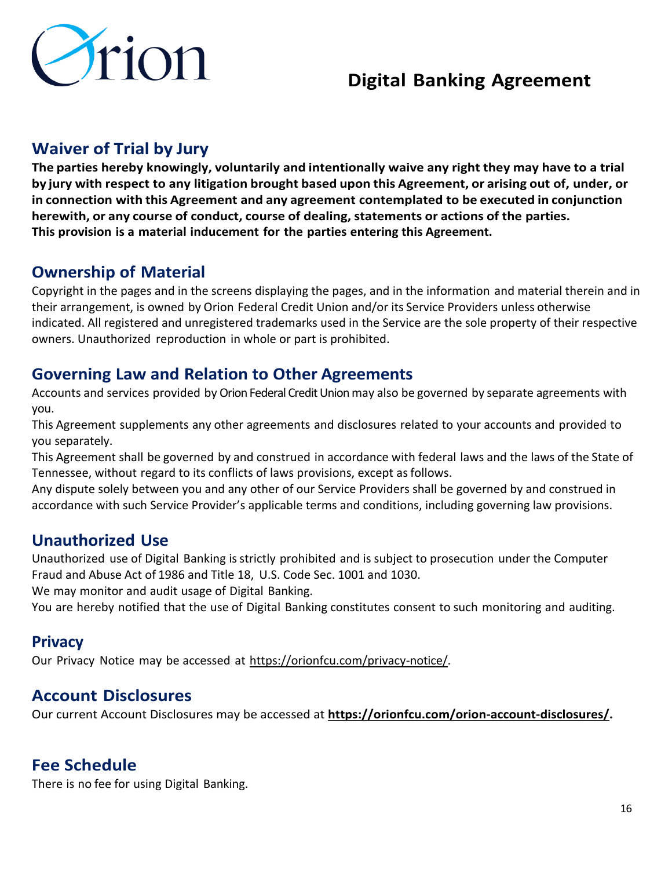

## **Waiver of Trial by Jury**

**The parties hereby knowingly, voluntarily and intentionally waive any right they may have to a trial by jury with respect to any litigation brought based upon this Agreement, or arising out of, under, or in connection with this Agreement and any agreement contemplated to be executed in conjunction herewith, or any course of conduct, course of dealing, statements or actions of the parties. This provision is a material inducement for the parties entering this Agreement.**

### **Ownership of Material**

Copyright in the pages and in the screens displaying the pages, and in the information and material therein and in their arrangement, is owned by Orion Federal Credit Union and/or its Service Providers unless otherwise indicated. All registered and unregistered trademarks used in the Service are the sole property of their respective owners. Unauthorized reproduction in whole or part is prohibited.

### **Governing Law and Relation to Other Agreements**

Accounts and services provided by Orion Federal Credit Union may also be governed by separate agreements with you.

This Agreement supplements any other agreements and disclosures related to your accounts and provided to you separately.

This Agreement shall be governed by and construed in accordance with federal laws and the laws of the State of Tennessee, without regard to its conflicts of laws provisions, except as follows.

Any dispute solely between you and any other of our Service Providers shall be governed by and construed in accordance with such Service Provider's applicable terms and conditions, including governing law provisions.

### **Unauthorized Use**

Unauthorized use of Digital Banking isstrictly prohibited and is subject to prosecution under the Computer Fraud and Abuse Act of 1986 and Title 18, U.S. Code Sec. 1001 and 1030.

We may monitor and audit usage of Digital Banking.

You are hereby notified that the use of Digital Banking constitutes consent to such monitoring and auditing.

#### **Privacy**

Our Privacy Notice may be accessed at [https://orionfcu.com/privacy-notice/.](https://orionfcu.com/privacy-notice/)

### **Account Disclosures**

Our current Account Disclosures may be accessed at **[https://orionfcu.com/orion-account-disclosures/.](https://orionfcu.com/orion-account-disclosures/)** 

### **Fee Schedule**

There is no fee for using Digital Banking.